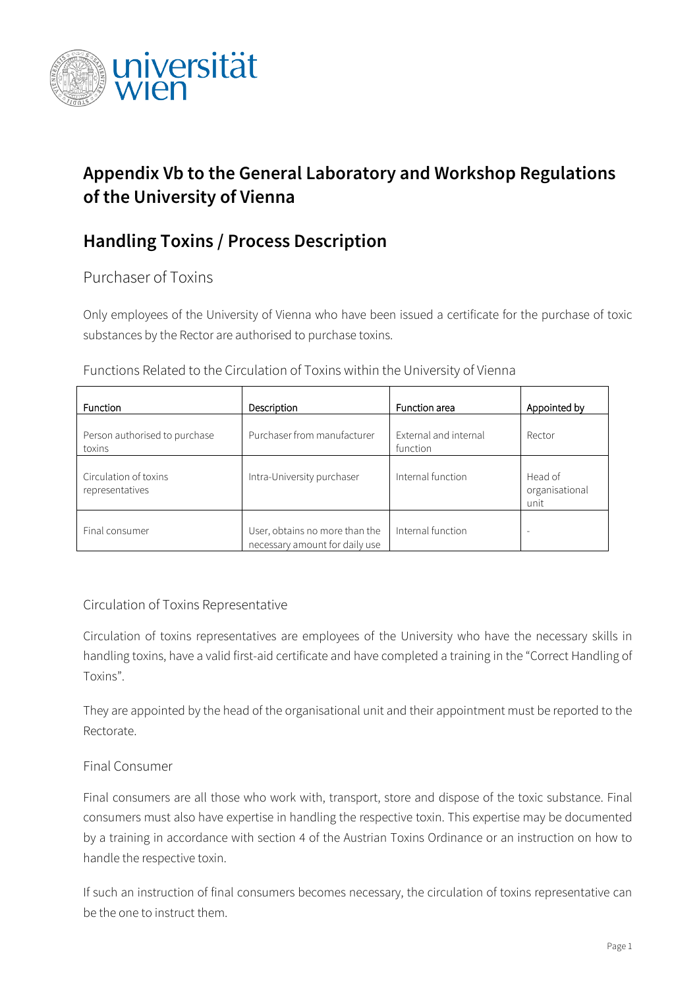

# **Appendix Vb to the General Laboratory and Workshop Regulations of the University of Vienna**

## **Handling Toxins / Process Description**

Purchaser of Toxins

Only employees of the University of Vienna who have been issued a certificate for the purchase of toxic substances by the Rector are authorised to purchase toxins.

| <b>Function</b>                          | Description                                                      | Function area                     | Appointed by                      |
|------------------------------------------|------------------------------------------------------------------|-----------------------------------|-----------------------------------|
| Person authorised to purchase<br>toxins  | Purchaser from manufacturer                                      | External and internal<br>function | Rector                            |
| Circulation of toxins<br>representatives | Intra-University purchaser                                       | Internal function                 | Head of<br>organisational<br>unit |
| Final consumer                           | User, obtains no more than the<br>necessary amount for daily use | Internal function                 | -                                 |

Functions Related to the Circulation of Toxins within the University of Vienna

### Circulation of Toxins Representative

Circulation of toxins representatives are employees of the University who have the necessary skills in handling toxins, have a valid first-aid certificate and have completed a training in the "Correct Handling of Toxins".

They are appointed by the head of the organisational unit and their appointment must be reported to the Rectorate.

### Final Consumer

Final consumers are all those who work with, transport, store and dispose of the toxic substance. Final consumers must also have expertise in handling the respective toxin. This expertise may be documented by a training in accordance with section 4 of the Austrian Toxins Ordinance or an instruction on how to handle the respective toxin.

If such an instruction of final consumers becomes necessary, the circulation of toxins representative can be the one to instruct them.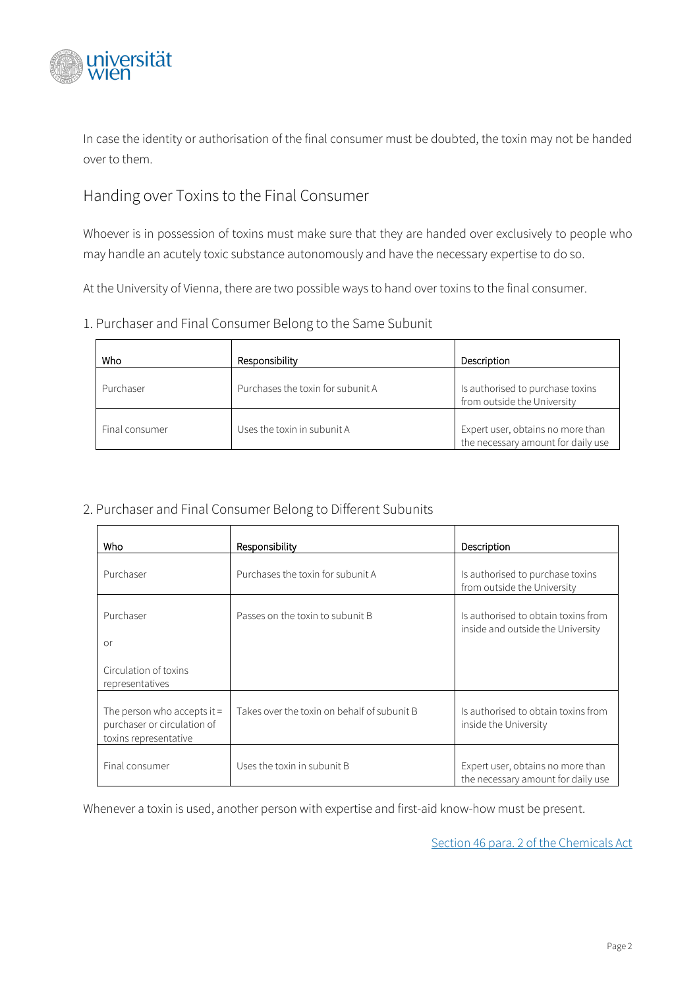

In case the identity or authorisation of the final consumer must be doubted, the toxin may not be handed over to them.

## Handing over Toxins to the Final Consumer

Whoever is in possession of toxins must make sure that they are handed over exclusively to people who may handle an acutely toxic substance autonomously and have the necessary expertise to do so.

At the University of Vienna, there are two possible ways to hand over toxins to the final consumer.

#### 1. Purchaser and Final Consumer Belong to the Same Subunit

| Who            | Responsibility                    | Description                                                             |
|----------------|-----------------------------------|-------------------------------------------------------------------------|
| Purchaser      | Purchases the toxin for subunit A | Is authorised to purchase toxins<br>from outside the University         |
| Final consumer | Uses the toxin in subunit A       | Expert user, obtains no more than<br>the necessary amount for daily use |

#### 2. Purchaser and Final Consumer Belong to Different Subunits

| Who                                                                                   | Responsibility                              | Description                                                              |
|---------------------------------------------------------------------------------------|---------------------------------------------|--------------------------------------------------------------------------|
| Purchaser                                                                             | Purchases the toxin for subunit A           | Is authorised to purchase toxins<br>from outside the University          |
| Purchaser<br>or                                                                       | Passes on the toxin to subunit B            | Is authorised to obtain toxins from<br>inside and outside the University |
| Circulation of toxins<br>representatives                                              |                                             |                                                                          |
| The person who accepts it $=$<br>purchaser or circulation of<br>toxins representative | Takes over the toxin on behalf of subunit B | Is authorised to obtain toxins from<br>inside the University             |
| Final consumer                                                                        | Uses the toxin in subunit B                 | Expert user, obtains no more than<br>the necessary amount for daily use  |

Whenever a toxin is used, another person with expertise and first-aid know-how must be present.

[Section 46 para. 2 of the Chemicals Act](https://www.ris.bka.gv.at/Dokumente/Bundesnormen/NOR40204430/NOR40204430.html)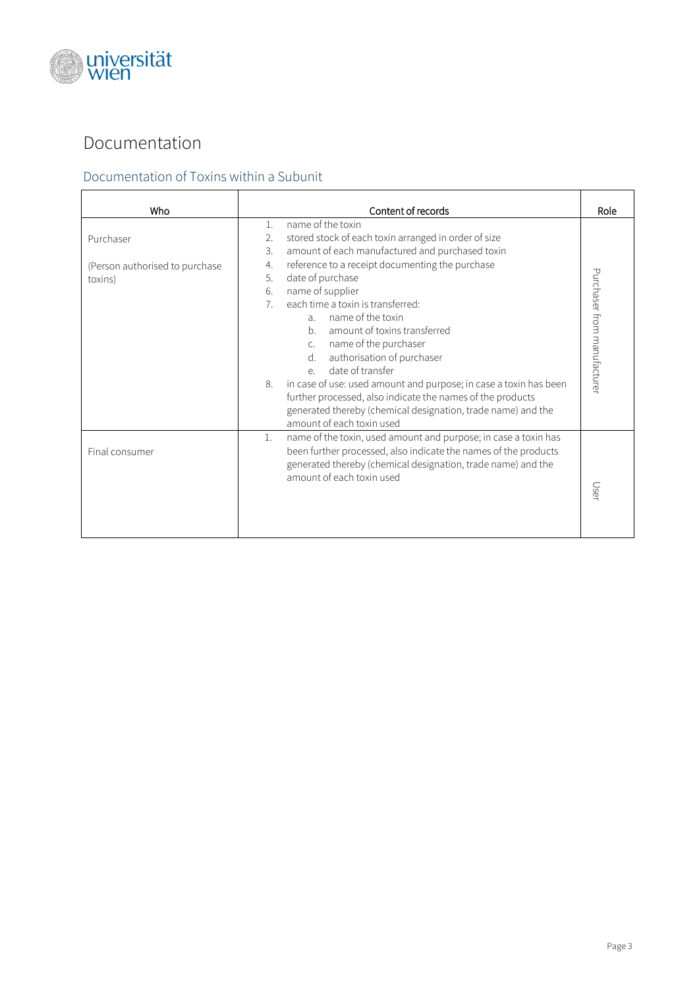

# Documentation

## Documentation of Toxins within a Subunit

| Who                                       | Content of records                                                                                                                                                                                                                                                                                                                                                                                                                                                                                       | Role                        |
|-------------------------------------------|----------------------------------------------------------------------------------------------------------------------------------------------------------------------------------------------------------------------------------------------------------------------------------------------------------------------------------------------------------------------------------------------------------------------------------------------------------------------------------------------------------|-----------------------------|
| Purchaser                                 | name of the toxin<br>1.<br>stored stock of each toxin arranged in order of size<br>2.<br>amount of each manufactured and purchased toxin<br>3.                                                                                                                                                                                                                                                                                                                                                           |                             |
| (Person authorised to purchase<br>toxins) | reference to a receipt documenting the purchase<br>4.<br>date of purchase<br>5.                                                                                                                                                                                                                                                                                                                                                                                                                          |                             |
|                                           | name of supplier<br>6.<br>each time a toxin is transferred:<br>$7^{\circ}$<br>name of the toxin<br>$\lambda$<br>amount of toxins transferred<br>b.<br>name of the purchaser<br>$C_{\alpha}$<br>authorisation of purchaser<br>$d_{-}$<br>date of transfer<br>$\rho$<br>in case of use: used amount and purpose; in case a toxin has been<br>8.<br>further processed, also indicate the names of the products<br>generated thereby (chemical designation, trade name) and the<br>amount of each toxin used | Purchaser from manufacturer |
| Final consumer                            | name of the toxin, used amount and purpose; in case a toxin has<br>1.<br>been further processed, also indicate the names of the products<br>generated thereby (chemical designation, trade name) and the<br>amount of each toxin used                                                                                                                                                                                                                                                                    | User                        |